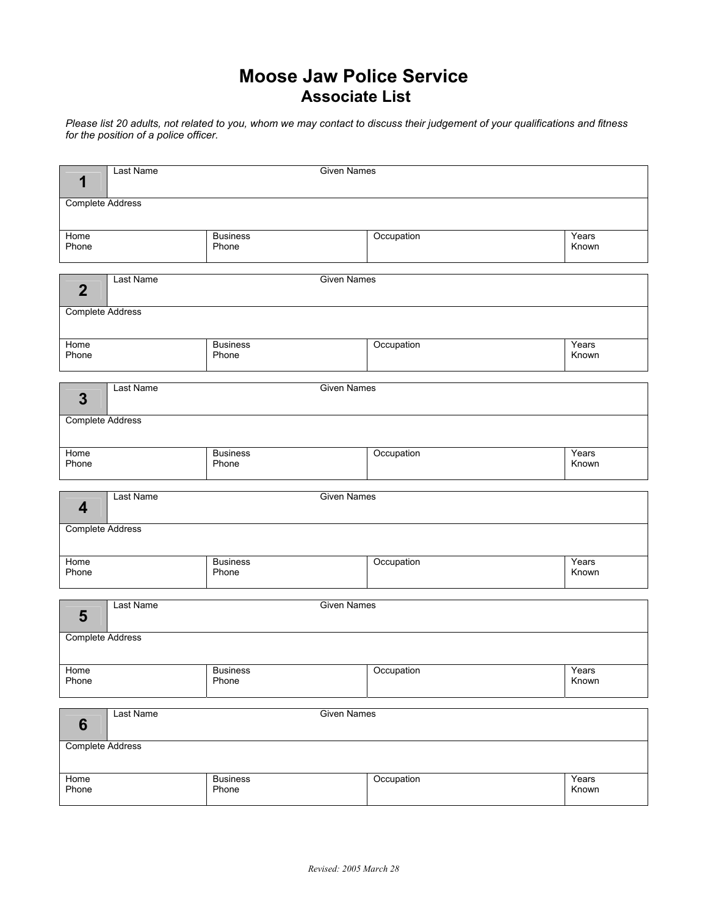## **Moose Jaw Police Service Associate List**

*Please list 20 adults, not related to you, whom we may contact to discuss their judgement of your qualifications and fitness for the position of a police officer.* 

| 1                       | Last Name | <b>Given Names</b>       |            |                |  |  |  |  |
|-------------------------|-----------|--------------------------|------------|----------------|--|--|--|--|
| <b>Complete Address</b> |           |                          |            |                |  |  |  |  |
| Home<br>Phone           |           | <b>Business</b><br>Phone | Occupation | Years<br>Known |  |  |  |  |
| $\overline{2}$          | Last Name | <b>Given Names</b>       |            |                |  |  |  |  |
| <b>Complete Address</b> |           |                          |            |                |  |  |  |  |
| Home<br>Phone           |           | <b>Business</b><br>Phone | Occupation | Years<br>Known |  |  |  |  |
| 3                       | Last Name | <b>Given Names</b>       |            |                |  |  |  |  |
| <b>Complete Address</b> |           |                          |            |                |  |  |  |  |
| Home<br>Phone           |           | <b>Business</b><br>Phone | Occupation | Years<br>Known |  |  |  |  |
|                         |           |                          |            |                |  |  |  |  |
| $\boldsymbol{4}$        | Last Name | <b>Given Names</b>       |            |                |  |  |  |  |
| <b>Complete Address</b> |           |                          |            |                |  |  |  |  |
| Home<br>Phone           |           | <b>Business</b><br>Phone | Occupation | Years<br>Known |  |  |  |  |
| 5                       | Last Name | <b>Given Names</b>       |            |                |  |  |  |  |
| <b>Complete Address</b> |           |                          |            |                |  |  |  |  |
| Home<br>Phone           |           | <b>Business</b><br>Phone | Occupation | Years<br>Known |  |  |  |  |
| 6                       | Last Name | <b>Given Names</b>       |            |                |  |  |  |  |
| <b>Complete Address</b> |           |                          |            |                |  |  |  |  |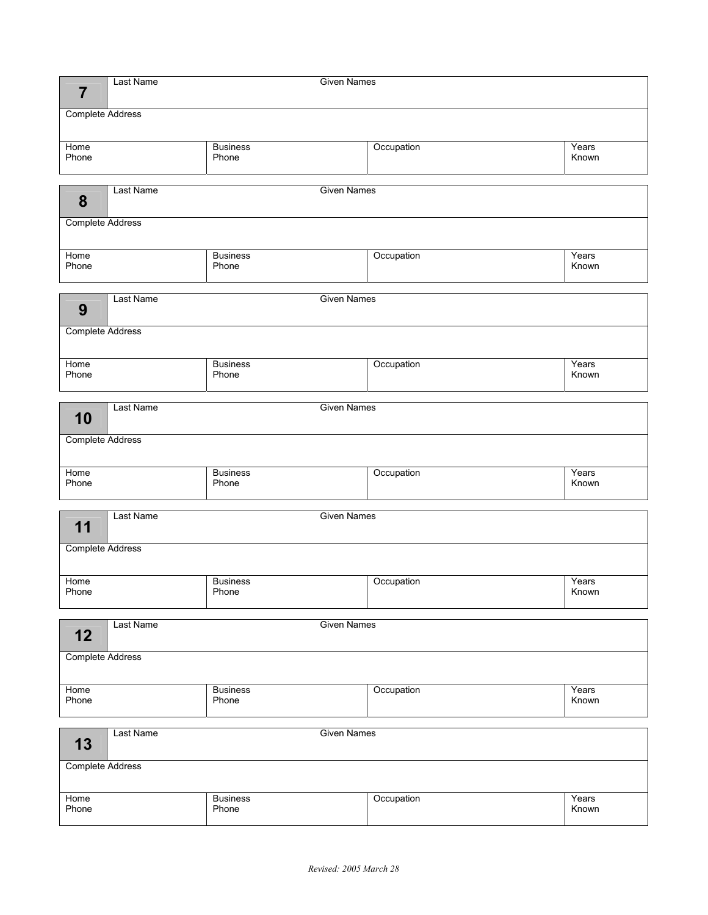| 7                       | Last Name<br><b>Given Names</b>        |                          |            |                |  |  |  |
|-------------------------|----------------------------------------|--------------------------|------------|----------------|--|--|--|
| <b>Complete Address</b> |                                        |                          |            |                |  |  |  |
| Home<br>Phone           |                                        | <b>Business</b><br>Phone | Occupation | Years<br>Known |  |  |  |
| 8                       | Last Name                              | <b>Given Names</b>       |            |                |  |  |  |
| <b>Complete Address</b> |                                        |                          |            |                |  |  |  |
| Home<br>Phone           |                                        | <b>Business</b><br>Phone | Occupation | Years<br>Known |  |  |  |
| 9                       | Last Name                              | <b>Given Names</b>       |            |                |  |  |  |
| Complete Address        |                                        |                          |            |                |  |  |  |
| Home<br>Phone           |                                        | <b>Business</b><br>Phone | Occupation | Years<br>Known |  |  |  |
| 10                      | Last Name                              | <b>Given Names</b>       |            |                |  |  |  |
| <b>Complete Address</b> |                                        |                          |            |                |  |  |  |
| Home<br>Phone           |                                        | <b>Business</b><br>Phone | Occupation | Years<br>Known |  |  |  |
| 11                      | <b>Given Names</b><br><b>Last Name</b> |                          |            |                |  |  |  |
| <b>Complete Address</b> |                                        |                          |            |                |  |  |  |
| Home<br>Phone           |                                        | <b>Business</b><br>Phone | Occupation | Years<br>Known |  |  |  |
| 12                      | <b>Last Name</b>                       | <b>Given Names</b>       |            |                |  |  |  |
| <b>Complete Address</b> |                                        |                          |            |                |  |  |  |
| Home<br>Phone           |                                        | <b>Business</b><br>Phone | Occupation | Years<br>Known |  |  |  |
| 13                      | Last Name<br><b>Given Names</b>        |                          |            |                |  |  |  |
| <b>Complete Address</b> |                                        |                          |            |                |  |  |  |
| Home<br>Phone           |                                        | <b>Business</b><br>Phone | Occupation | Years<br>Known |  |  |  |